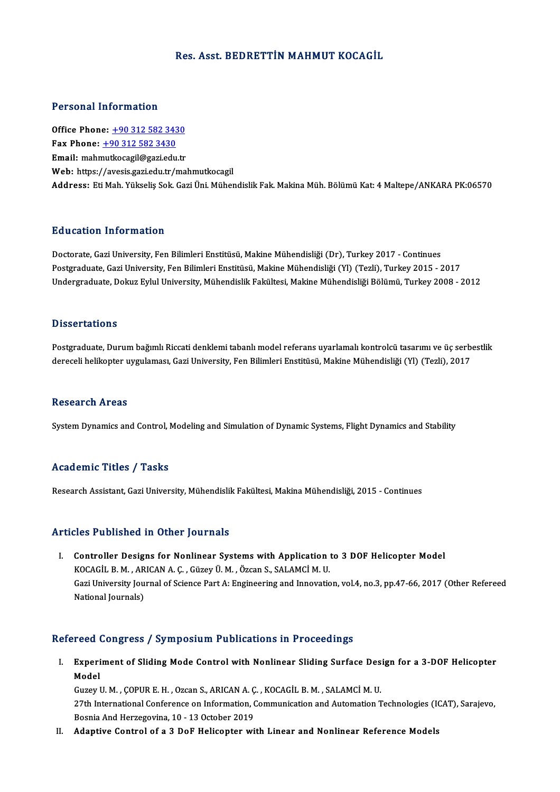### Res. Asst. BEDRETTİN MAHMUT KOCAGİL

### Personal Information

Office Phone: +90 312 582 3430 Fax Phone:  $+903125823430$ Email: mah[mutkocagil@gazi.edu.tr](tel:+90 312 582 3430) Web: https://avesis.gazi.edu.tr/mahmutkocagil Address: EtiMah.Yükseliş Sok.GaziÜni.MühendislikFak.MakinaMüh.BölümüKat:4Maltepe/ANKARAPK:06570

### Education Information

Education Information<br>Doctorate, Gazi University, Fen Bilimleri Enstitüsü, Makine Mühendisliği (Dr), Turkey 2017 - Continues<br>Postsraduate Cazi University, Fen Bilimleri Enstitüsü, Makine Mühendisliği (V), (Tazli), Turkey 2 Pu u sutrom minor mutrom<br>Doctorate, Gazi University, Fen Bilimleri Enstitüsü, Makine Mühendisliği (Dr), Turkey 2017 - Continues<br>Postgraduate, Gazi University, Fen Bilimleri Enstitüsü, Makine Mühendisliği (Yl) (Tezli), Turk Postgraduate, Gazi University, Fen Bilimleri Enstitüsü, Makine Mühendisliği (Yl) (Tezli), Turkey 2015 - 2017<br>Undergraduate, Dokuz Eylul University, Mühendislik Fakültesi, Makine Mühendisliği Bölümü, Turkey 2008 - 2012

### **Dissertations**

Dissertations<br>Postgraduate, Durum bağımlı Riccati denklemi tabanlı model referans uyarlamalı kontrolcü tasarımı ve üç serbestlik<br>danaçılı balikonter uygulaması, Cari University, Fen Bilimleri Enstitüsü, Makine Mühandialiği D'isser tatreris<br>Postgraduate, Durum bağımlı Riccati denklemi tabanlı model referans uyarlamalı kontrolcü tasarımı ve üç serb<br>dereceli helikopter uygulaması, Gazi University, Fen Bilimleri Enstitüsü, Makine Mühendisliği (Y dereceli helikopter uygulaması, Gazi University, Fen Bilimleri Enstitüsü, Makine Mühendisliği (Yl) (Tezli), 2017<br>Research Areas

System Dynamics and Control, Modeling and Simulation of Dynamic Systems, Flight Dynamics and Stability

## Academic Titles / Tasks

Research Assistant, Gazi University, Mühendislik Fakültesi, Makina Mühendisliği, 2015 - Continues

## Articles Published in Other Journals

The Published in Other Journals<br>I. Controller Designs for Nonlinear Systems with Application to 3 DOF Helicopter Model<br>KOCACU B M ABICANA C. Cürev Ü M. Özean S. SALAMCİ M U XOCA HISTORICI IN OCHON JOHNINIS<br>Controller Designs for Nonlinear Systems with Application<br>KOCAGİL B.M., ARICAN A.Ç., Güzey Ü.M., Özcan S., SALAMCİM.U. Gazi University Journal of Science Part A: Engineering and Innovation, vol.4, no.3, pp.47-66, 2017 (Other Refereed<br>National Journals) KOCAGİL B. M., ARICAN A. Ç., Güzey Ü. M., Özcan S., SALAMCİ M. U.

## Refereed Congress / Symposium Publications in Proceedings

efereed Congress / Symposium Publications in Proceedings<br>I. Experiment of Sliding Mode Control with Nonlinear Sliding Surface Design for a 3-DOF Helicopter<br>Model reea<br>Experi<br>Model<br>Guzey L Experiment of Sliding Mode Control with Nonlinear Sliding Surface Des<br>Model<br>Guzey U.M. , ÇOPUR E.H. , Ozcan S., ARICAN A. Ç. , KOCAGİL B.M. , SALAMCİ M. U.<br>27th International Conference on Information Communication and Aut

Model<br>Guzey U. M. , ÇOPUR E. H. , Ozcan S., ARICAN A. Ç. , KOCAGİL B. M. , SALAMCİ M. U.<br>27th International Conference on Information, Communication and Automation Technologies (ICAT), Sarajevo,<br>Besnis And Herregevine, 10, Guzey U. M. , ÇOPUR E. H. , Ozcan S., ARICAN A. Ç<br>27th International Conference on Information, (<br>Bosnia And Herzegovina, 10 - 13 October 2019 27th International Conference on Information, Communication and Automation Technologies (I)<br>Bosnia And Herzegovina, 10 - 13 October 2019<br>II. Adaptive Control of a 3 DoF Helicopter with Linear and Nonlinear Reference Models